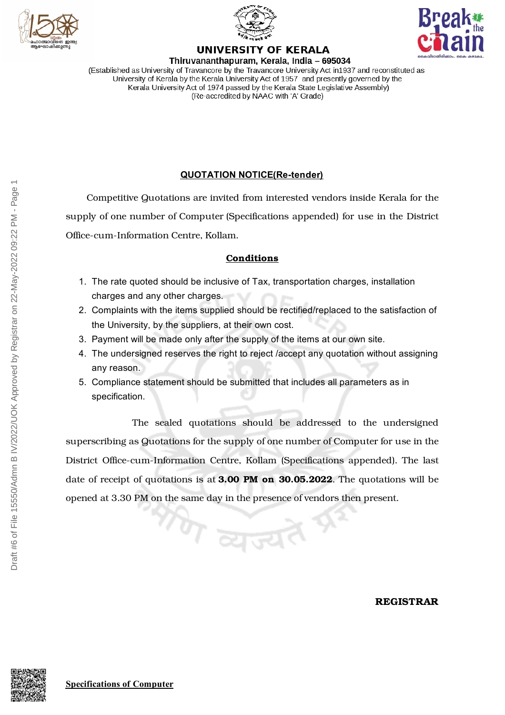





## **UNIVERSITY OF KERALA**

Thiruvananthapuram, Kerala, India - 695034 (Established as University of Travancore by the Travancore University Act in 1937 and reconstituted as University of Kerala by the Kerala University Act of 1957 and presently governed by the Kerala University Act of 1974 passed by the Kerala State Legislative Assembly) (Re-accredited by NAAC with 'A' Grade)

## **QUOTATION NOTICE(Re-tender)**

Competitive Quotations are invited from interested vendors inside Kerala for the supply of one number of Computer (Specifications appended) for use in the District Office-cum-Information Centre, Kollam.

## **Conditions**

- 1. The rate quoted should be inclusive of Tax, transportation charges, installation charges and any other charges.
- 2. Complaints with the items supplied should be rectified/replaced to the satisfaction of the University, by the suppliers, at their own cost.
- 3. Payment will be made only after the supply of the items at our own site.
- 4. The undersigned reserves the right to reject /accept any quotation without assigning any reason.
- 5. Compliance statement should be submitted that includes all parameters as in specification.

The sealed quotations should be addressed to the undersigned superscribing as Quotations for the supply of one number of Computer for use in the District Office-cum-Information Centre, Kollam (Specifications appended). The last date of receipt of quotations is at **3.00 PM on 30.05.2022**. The quotations will be opened at 3.30 PM on the same day in the presence of vendors then present.

 $\tau$  व्युज्य

**REGISTRAR**